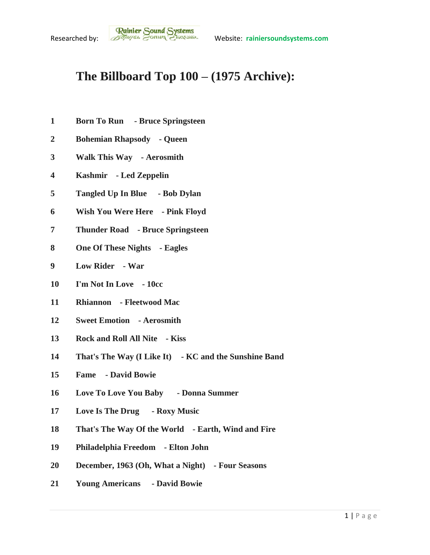## **The Billboard Top 100 – (1975 Archive):**

- **Born To Run - Bruce Springsteen**
- **Bohemian Rhapsody - Queen**
- **Walk This Way - Aerosmith**
- **Kashmir - Led Zeppelin**
- **Tangled Up In Blue - Bob Dylan**
- **Wish You Were Here - Pink Floyd**
- **Thunder Road - Bruce Springsteen**
- **One Of These Nights - Eagles**
- **Low Rider - War**
- **I'm Not In Love - 10cc**
- **Rhiannon - Fleetwood Mac**
- **Sweet Emotion - Aerosmith**
- **Rock and Roll All Nite - Kiss**
- **That's The Way (I Like It) - KC and the Sunshine Band**
- **Fame - David Bowie**
- **Love To Love You Baby - Donna Summer**
- **Love Is The Drug - Roxy Music**
- **That's The Way Of the World - Earth, Wind and Fire**
- **Philadelphia Freedom - Elton John**
- **December, 1963 (Oh, What a Night) - Four Seasons**
- **Young Americans - David Bowie**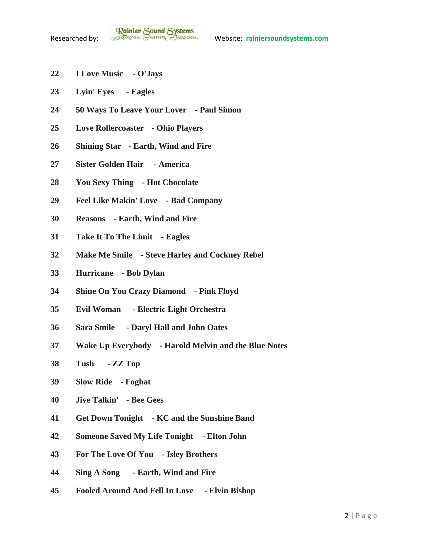- **I Love Music - O'Jays**
- **Lyin' Eyes - Eagles**
- **50 Ways To Leave Your Lover - Paul Simon**
- **Love Rollercoaster - Ohio Players**
- **Shining Star - Earth, Wind and Fire**
- **Sister Golden Hair - America**
- **You Sexy Thing - Hot Chocolate**
- **Feel Like Makin' Love - Bad Company**
- **Reasons - Earth, Wind and Fire**
- **Take It To The Limit - Eagles**
- **Make Me Smile - Steve Harley and Cockney Rebel**
- **Hurricane - Bob Dylan**
- **Shine On You Crazy Diamond - Pink Floyd**
- **Evil Woman - Electric Light Orchestra**
- **Sara Smile - Daryl Hall and John Oates**
- **Wake Up Everybody - Harold Melvin and the Blue Notes**
- **Tush - ZZ Top**
- **Slow Ride - Foghat**
- **Jive Talkin' - Bee Gees**
- **Get Down Tonight - KC and the Sunshine Band**
- **Someone Saved My Life Tonight - Elton John**
- **For The Love Of You - Isley Brothers**
- **Sing A Song - Earth, Wind and Fire**
- **Fooled Around And Fell In Love - Elvin Bishop**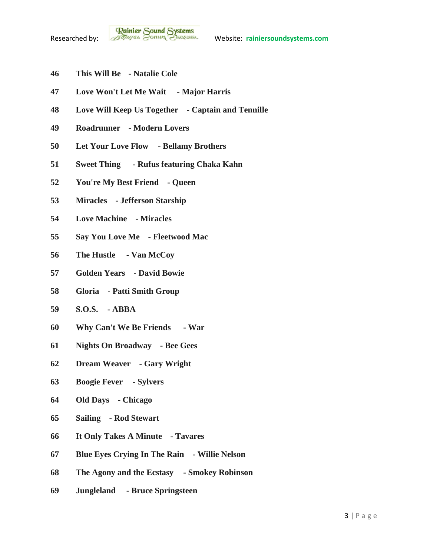- **This Will Be - Natalie Cole**
- **Love Won't Let Me Wait - Major Harris**
- **Love Will Keep Us Together - Captain and Tennille**
- **Roadrunner - Modern Lovers**
- **Let Your Love Flow - Bellamy Brothers**
- **Sweet Thing - Rufus featuring Chaka Kahn**
- **You're My Best Friend - Queen**
- **Miracles - Jefferson Starship**
- **Love Machine - Miracles**
- **Say You Love Me - Fleetwood Mac**
- **The Hustle - Van McCoy**
- **Golden Years - David Bowie**
- **Gloria - Patti Smith Group**
- **S.O.S. - ABBA**
- **Why Can't We Be Friends - War**
- **Nights On Broadway - Bee Gees**
- **Dream Weaver - Gary Wright**
- **Boogie Fever - Sylvers**
- **Old Days - Chicago**
- **Sailing - Rod Stewart**
- **It Only Takes A Minute - Tavares**
- **Blue Eyes Crying In The Rain - Willie Nelson**
- **The Agony and the Ecstasy - Smokey Robinson**
- **Jungleland - Bruce Springsteen**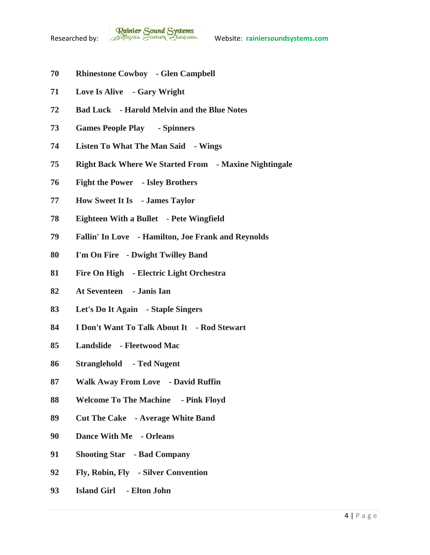- **Rhinestone Cowboy - Glen Campbell**
- **Love Is Alive - Gary Wright**
- **Bad Luck - Harold Melvin and the Blue Notes**
- **Games People Play - Spinners**
- **Listen To What The Man Said - Wings**
- **Right Back Where We Started From - Maxine Nightingale**
- **Fight the Power - Isley Brothers**
- **How Sweet It Is - James Taylor**
- **Eighteen With a Bullet - Pete Wingfield**
- **Fallin' In Love - Hamilton, Joe Frank and Reynolds**
- **I'm On Fire - Dwight Twilley Band**
- **Fire On High - Electric Light Orchestra**
- **At Seventeen - Janis Ian**
- **Let's Do It Again - Staple Singers**
- **I Don't Want To Talk About It - Rod Stewart**
- **Landslide - Fleetwood Mac**
- **Stranglehold - Ted Nugent**
- **Walk Away From Love - David Ruffin**
- **Welcome To The Machine - Pink Floyd**
- **Cut The Cake - Average White Band**
- **Dance With Me - Orleans**
- **Shooting Star - Bad Company**
- **Fly, Robin, Fly - Silver Convention**
- **Island Girl - Elton John**